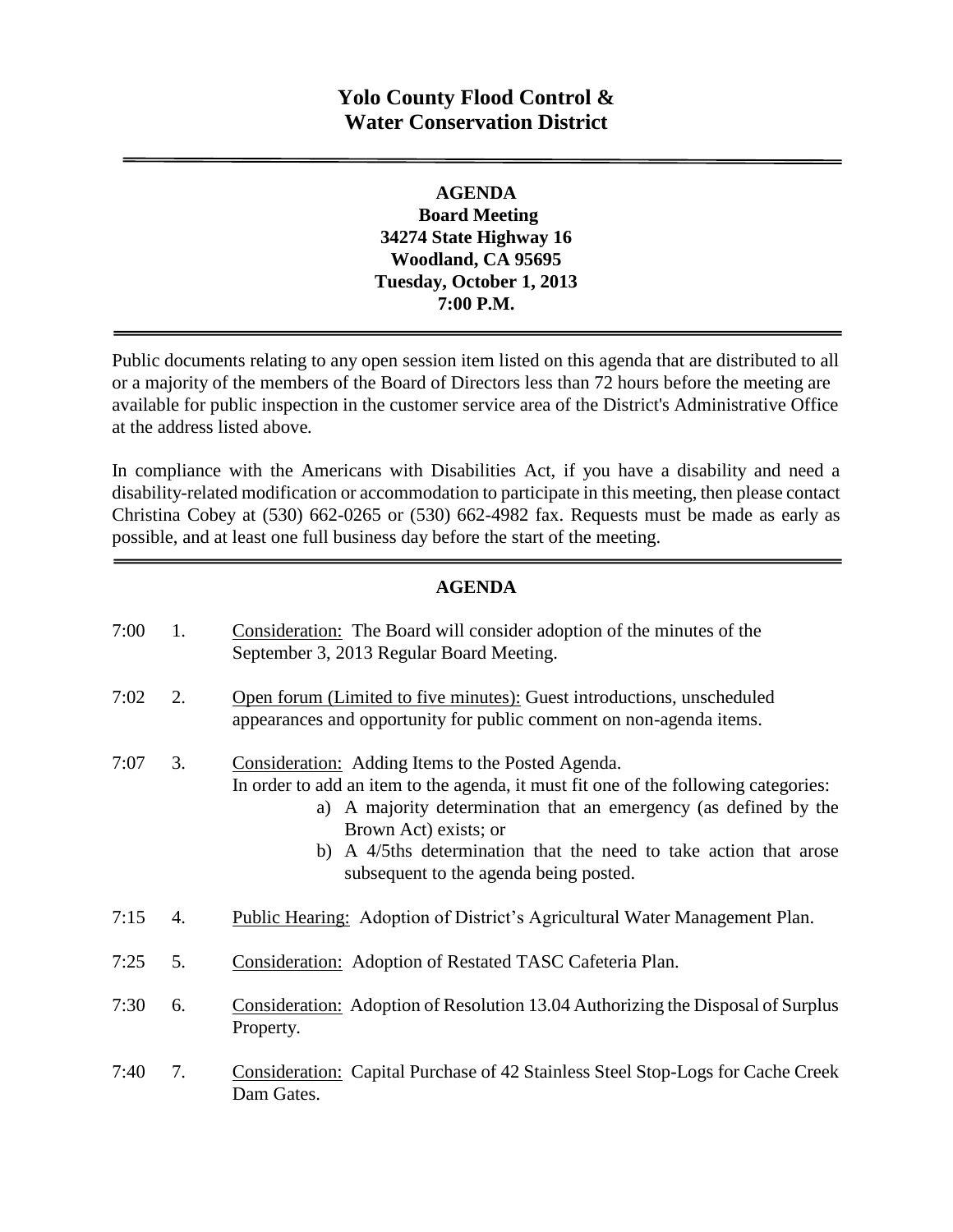# **Yolo County Flood Control & Water Conservation District**

### **AGENDA Board Meeting 34274 State Highway 16 Woodland, CA 95695 Tuesday, October 1, 2013 7:00 P.M.**

Public documents relating to any open session item listed on this agenda that are distributed to all or a majority of the members of the Board of Directors less than 72 hours before the meeting are available for public inspection in the customer service area of the District's Administrative Office at the address listed above*.* 

In compliance with the Americans with Disabilities Act, if you have a disability and need a disability-related modification or accommodation to participate in this meeting, then please contact Christina Cobey at (530) 662-0265 or (530) 662-4982 fax. Requests must be made as early as possible, and at least one full business day before the start of the meeting.

#### **AGENDA**

| 7:00 | 1. | Consideration: The Board will consider adoption of the minutes of the<br>September 3, 2013 Regular Board Meeting.                                                                                                                                                                                                                                           |
|------|----|-------------------------------------------------------------------------------------------------------------------------------------------------------------------------------------------------------------------------------------------------------------------------------------------------------------------------------------------------------------|
| 7:02 | 2. | Open forum (Limited to five minutes): Guest introductions, unscheduled<br>appearances and opportunity for public comment on non-agenda items.                                                                                                                                                                                                               |
| 7:07 | 3. | <b>Consideration:</b> Adding Items to the Posted Agenda.<br>In order to add an item to the agenda, it must fit one of the following categories:<br>a) A majority determination that an emergency (as defined by the<br>Brown Act) exists; or<br>b) A 4/5ths determination that the need to take action that arose<br>subsequent to the agenda being posted. |
| 7:15 | 4. | Public Hearing: Adoption of District's Agricultural Water Management Plan.                                                                                                                                                                                                                                                                                  |
| 7:25 | 5. | Consideration: Adoption of Restated TASC Cafeteria Plan.                                                                                                                                                                                                                                                                                                    |
| 7:30 | 6. | Consideration: Adoption of Resolution 13.04 Authorizing the Disposal of Surplus<br>Property.                                                                                                                                                                                                                                                                |
| 7:40 | 7. | <b>Consideration:</b> Capital Purchase of 42 Stainless Steel Stop-Logs for Cache Creek<br>Dam Gates.                                                                                                                                                                                                                                                        |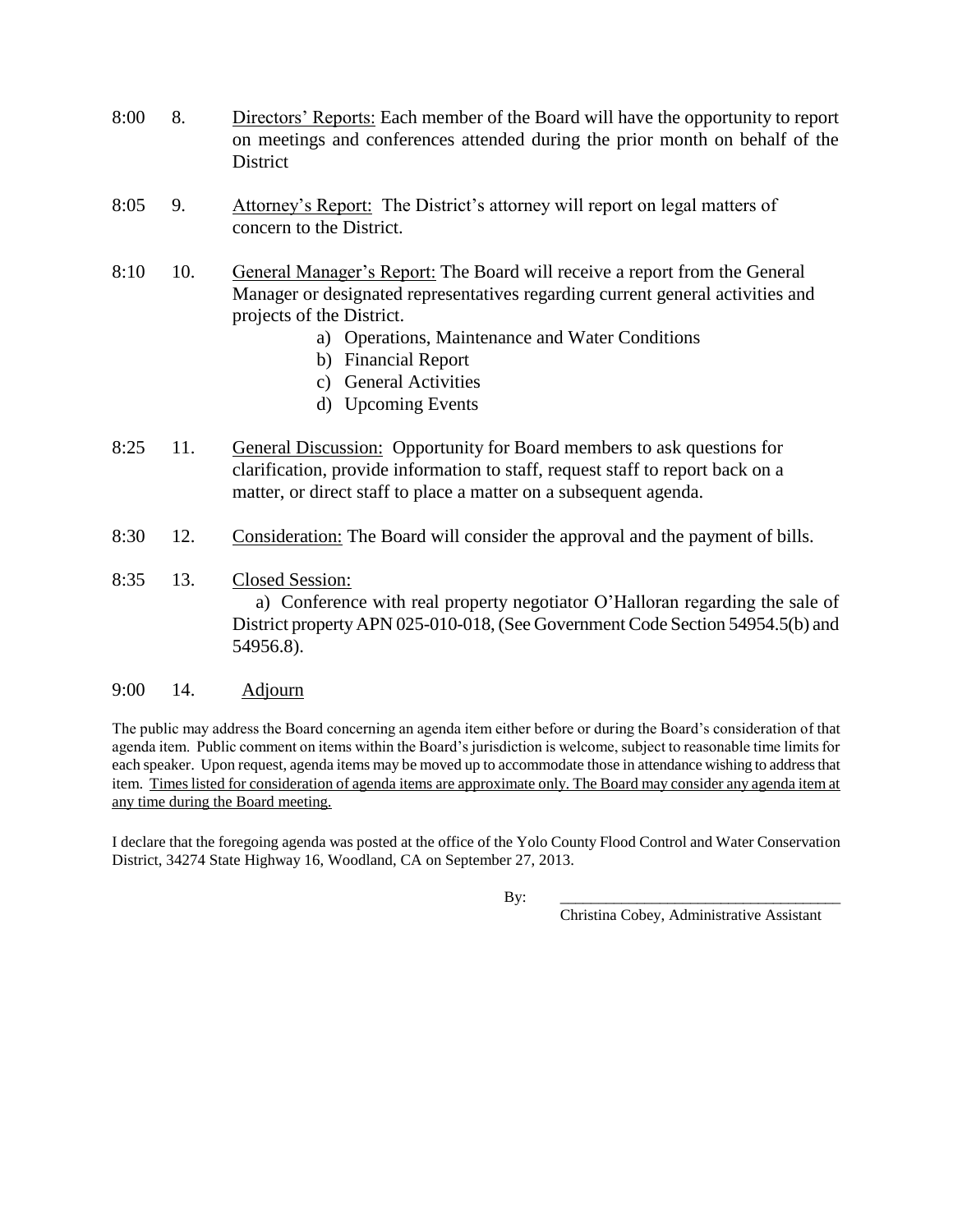- 8:00 8. Directors' Reports: Each member of the Board will have the opportunity to report on meetings and conferences attended during the prior month on behalf of the District
- 8:05 9. Attorney's Report: The District's attorney will report on legal matters of concern to the District.
- 8:10 10. General Manager's Report: The Board will receive a report from the General Manager or designated representatives regarding current general activities and projects of the District.
	- a) Operations, Maintenance and Water Conditions
	- b) Financial Report
	- c) General Activities
	- d) Upcoming Events
- 8:25 11. General Discussion: Opportunity for Board members to ask questions for clarification, provide information to staff, request staff to report back on a matter, or direct staff to place a matter on a subsequent agenda.
- 8:30 12. Consideration: The Board will consider the approval and the payment of bills.
- 8:35 13. Closed Session:

 a) Conference with real property negotiator O'Halloran regarding the sale of District property APN 025-010-018, (See Government Code Section 54954.5(b) and 54956.8).

#### 9:00 14. Adjourn

The public may address the Board concerning an agenda item either before or during the Board's consideration of that agenda item. Public comment on items within the Board's jurisdiction is welcome, subject to reasonable time limits for each speaker. Upon request, agenda items may be moved up to accommodate those in attendance wishing to address that item. Times listed for consideration of agenda items are approximate only. The Board may consider any agenda item at any time during the Board meeting.

I declare that the foregoing agenda was posted at the office of the Yolo County Flood Control and Water Conservation District, 34274 State Highway 16, Woodland, CA on September 27, 2013.

By: \_\_\_\_\_\_\_\_\_\_\_\_\_\_\_\_\_\_\_\_\_\_\_\_\_\_\_\_\_\_\_\_\_\_\_\_\_

Christina Cobey, Administrative Assistant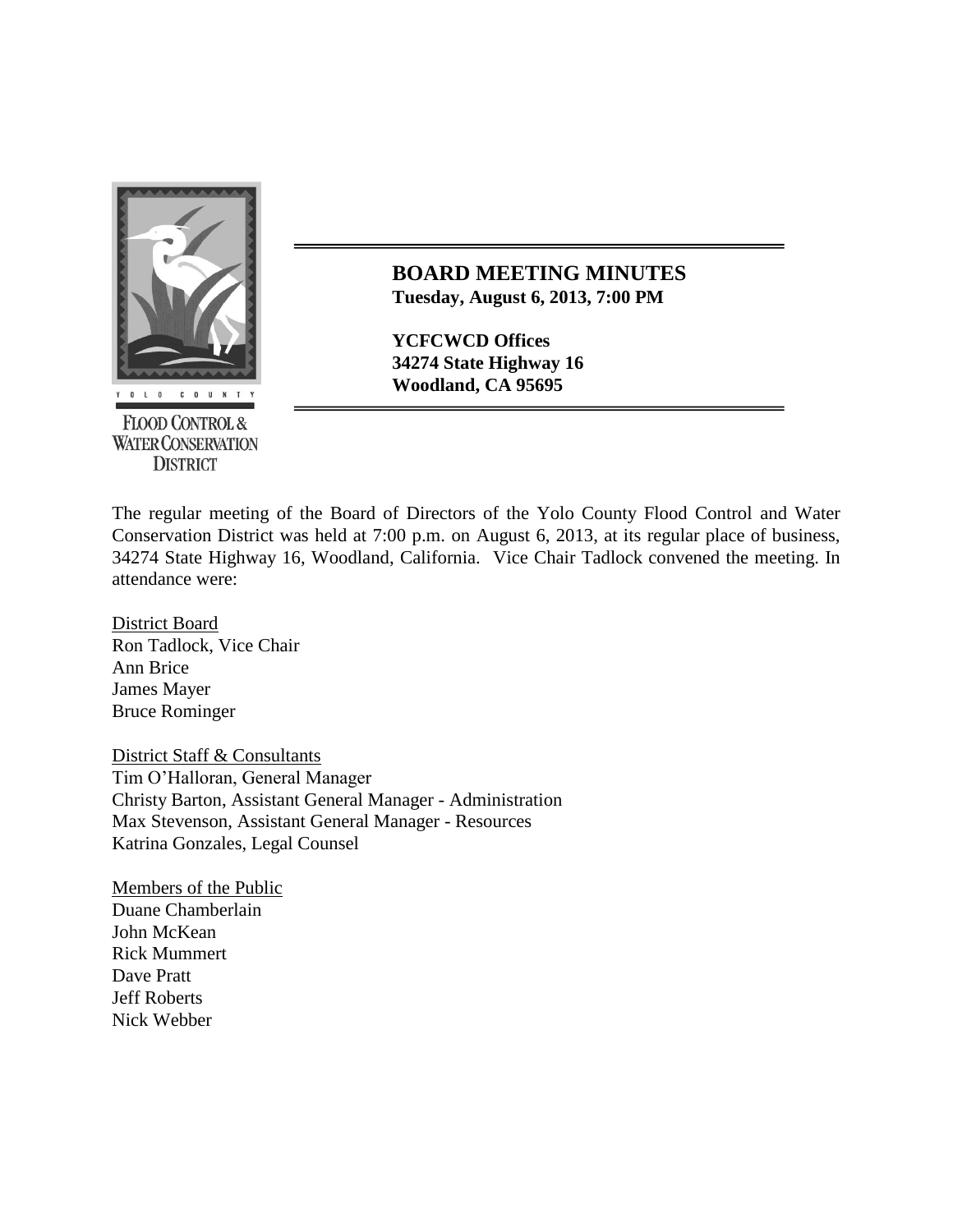

**BOARD MEETING MINUTES Tuesday, August 6, 2013, 7:00 PM**

**YCFCWCD Offices 34274 State Highway 16 Woodland, CA 95695** 

**FLOOD CONTROL & WATER CONSERVATION DISTRICT** 

The regular meeting of the Board of Directors of the Yolo County Flood Control and Water Conservation District was held at 7:00 p.m. on August 6, 2013, at its regular place of business, 34274 State Highway 16, Woodland, California. Vice Chair Tadlock convened the meeting. In attendance were:

District Board Ron Tadlock, Vice Chair Ann Brice James Mayer Bruce Rominger

District Staff & Consultants Tim O'Halloran, General Manager Christy Barton, Assistant General Manager - Administration Max Stevenson, Assistant General Manager - Resources Katrina Gonzales, Legal Counsel

Members of the Public Duane Chamberlain John McKean Rick Mummert Dave Pratt Jeff Roberts Nick Webber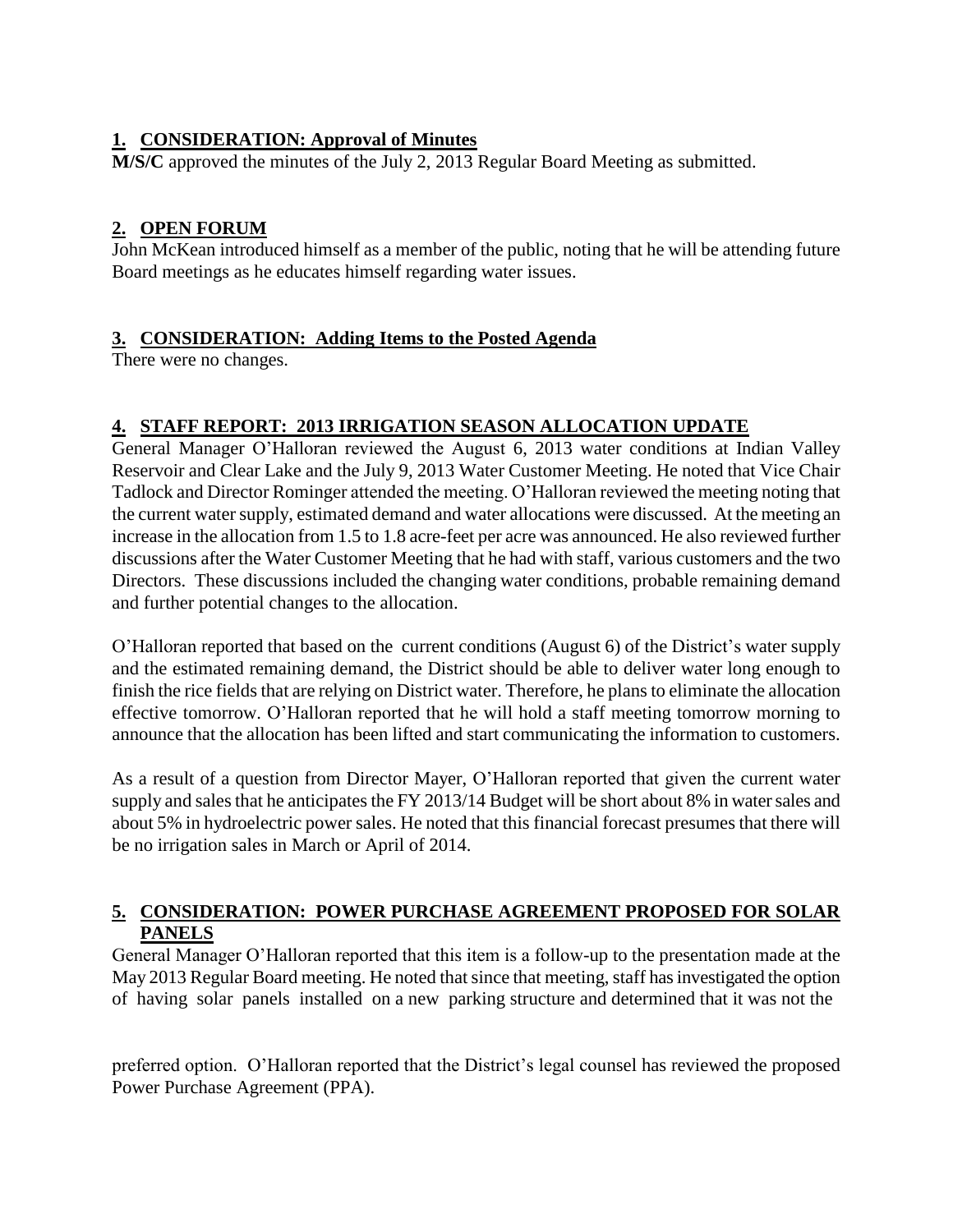## **1. CONSIDERATION: Approval of Minutes**

**M/S/C** approved the minutes of the July 2, 2013 Regular Board Meeting as submitted.

## **2. OPEN FORUM**

John McKean introduced himself as a member of the public, noting that he will be attending future Board meetings as he educates himself regarding water issues.

## **3. CONSIDERATION: Adding Items to the Posted Agenda**

There were no changes.

## **4. STAFF REPORT: 2013 IRRIGATION SEASON ALLOCATION UPDATE**

General Manager O'Halloran reviewed the August 6, 2013 water conditions at Indian Valley Reservoir and Clear Lake and the July 9, 2013 Water Customer Meeting. He noted that Vice Chair Tadlock and Director Rominger attended the meeting. O'Halloran reviewed the meeting noting that the current water supply, estimated demand and water allocations were discussed. At the meeting an increase in the allocation from 1.5 to 1.8 acre-feet per acre was announced. He also reviewed further discussions after the Water Customer Meeting that he had with staff, various customers and the two Directors. These discussions included the changing water conditions, probable remaining demand and further potential changes to the allocation.

O'Halloran reported that based on the current conditions (August 6) of the District's water supply and the estimated remaining demand, the District should be able to deliver water long enough to finish the rice fields that are relying on District water. Therefore, he plans to eliminate the allocation effective tomorrow. O'Halloran reported that he will hold a staff meeting tomorrow morning to announce that the allocation has been lifted and start communicating the information to customers.

As a result of a question from Director Mayer, O'Halloran reported that given the current water supply and sales that he anticipates the FY 2013/14 Budget will be short about 8% in water sales and about 5% in hydroelectric power sales. He noted that this financial forecast presumes that there will be no irrigation sales in March or April of 2014.

## **5. CONSIDERATION: POWER PURCHASE AGREEMENT PROPOSED FOR SOLAR PANELS**

General Manager O'Halloran reported that this item is a follow-up to the presentation made at the May 2013 Regular Board meeting. He noted that since that meeting, staff has investigated the option of having solar panels installed on a new parking structure and determined that it was not the

preferred option. O'Halloran reported that the District's legal counsel has reviewed the proposed Power Purchase Agreement (PPA).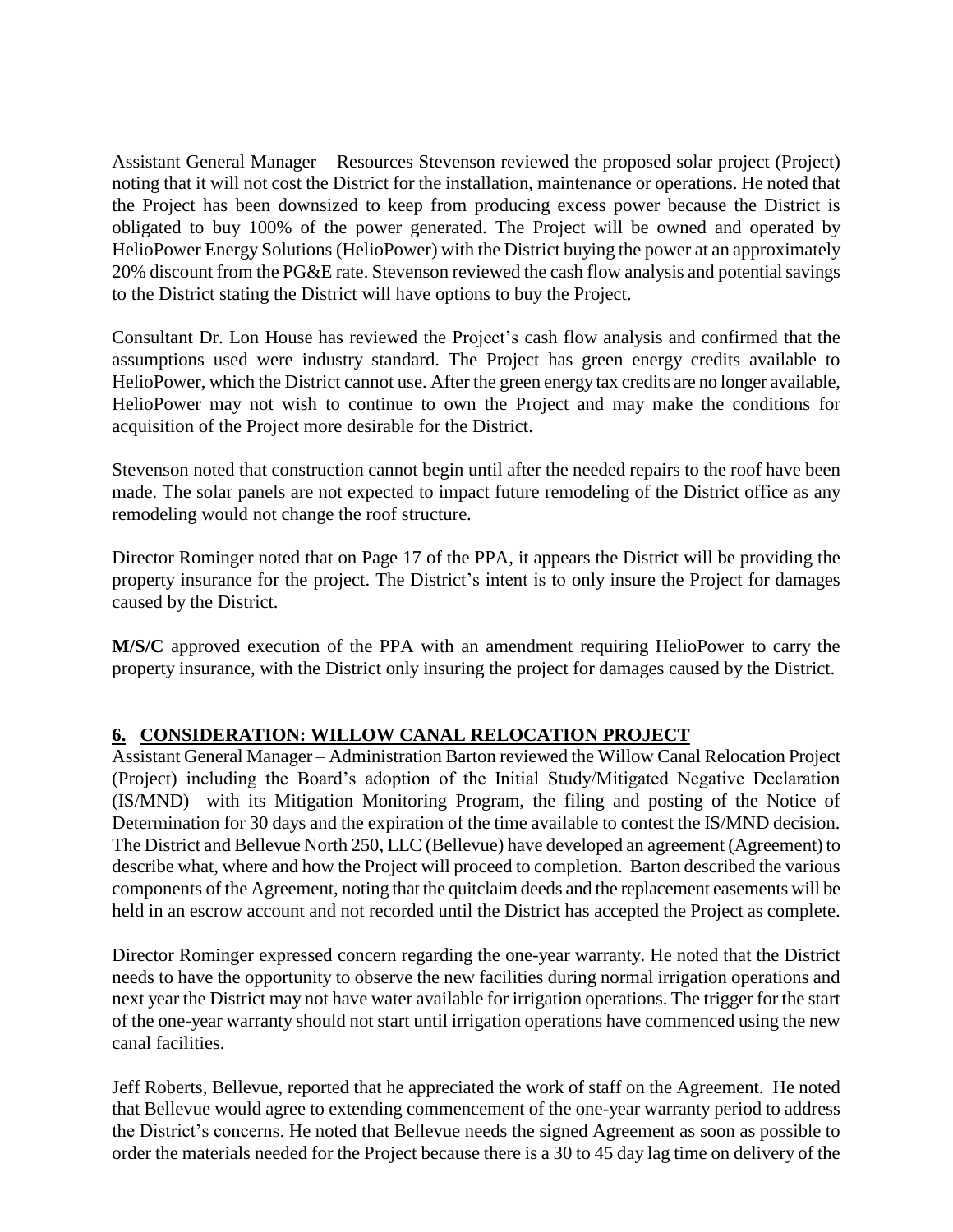Assistant General Manager – Resources Stevenson reviewed the proposed solar project (Project) noting that it will not cost the District for the installation, maintenance or operations. He noted that the Project has been downsized to keep from producing excess power because the District is obligated to buy 100% of the power generated. The Project will be owned and operated by HelioPower Energy Solutions (HelioPower) with the District buying the power at an approximately 20% discount from the PG&E rate. Stevenson reviewed the cash flow analysis and potential savings to the District stating the District will have options to buy the Project.

Consultant Dr. Lon House has reviewed the Project's cash flow analysis and confirmed that the assumptions used were industry standard. The Project has green energy credits available to HelioPower, which the District cannot use. After the green energy tax credits are no longer available, HelioPower may not wish to continue to own the Project and may make the conditions for acquisition of the Project more desirable for the District.

Stevenson noted that construction cannot begin until after the needed repairs to the roof have been made. The solar panels are not expected to impact future remodeling of the District office as any remodeling would not change the roof structure.

Director Rominger noted that on Page 17 of the PPA, it appears the District will be providing the property insurance for the project. The District's intent is to only insure the Project for damages caused by the District.

**M/S/C** approved execution of the PPA with an amendment requiring HelioPower to carry the property insurance, with the District only insuring the project for damages caused by the District.

## **6. CONSIDERATION: WILLOW CANAL RELOCATION PROJECT**

Assistant General Manager – Administration Barton reviewed the Willow Canal Relocation Project (Project) including the Board's adoption of the Initial Study/Mitigated Negative Declaration (IS/MND) with its Mitigation Monitoring Program, the filing and posting of the Notice of Determination for 30 days and the expiration of the time available to contest the IS/MND decision. The District and Bellevue North 250, LLC (Bellevue) have developed an agreement (Agreement) to describe what, where and how the Project will proceed to completion. Barton described the various components of the Agreement, noting that the quitclaim deeds and the replacement easements will be held in an escrow account and not recorded until the District has accepted the Project as complete.

Director Rominger expressed concern regarding the one-year warranty. He noted that the District needs to have the opportunity to observe the new facilities during normal irrigation operations and next year the District may not have water available for irrigation operations. The trigger for the start of the one-year warranty should not start until irrigation operations have commenced using the new canal facilities.

Jeff Roberts, Bellevue, reported that he appreciated the work of staff on the Agreement. He noted that Bellevue would agree to extending commencement of the one-year warranty period to address the District's concerns. He noted that Bellevue needs the signed Agreement as soon as possible to order the materials needed for the Project because there is a 30 to 45 day lag time on delivery of the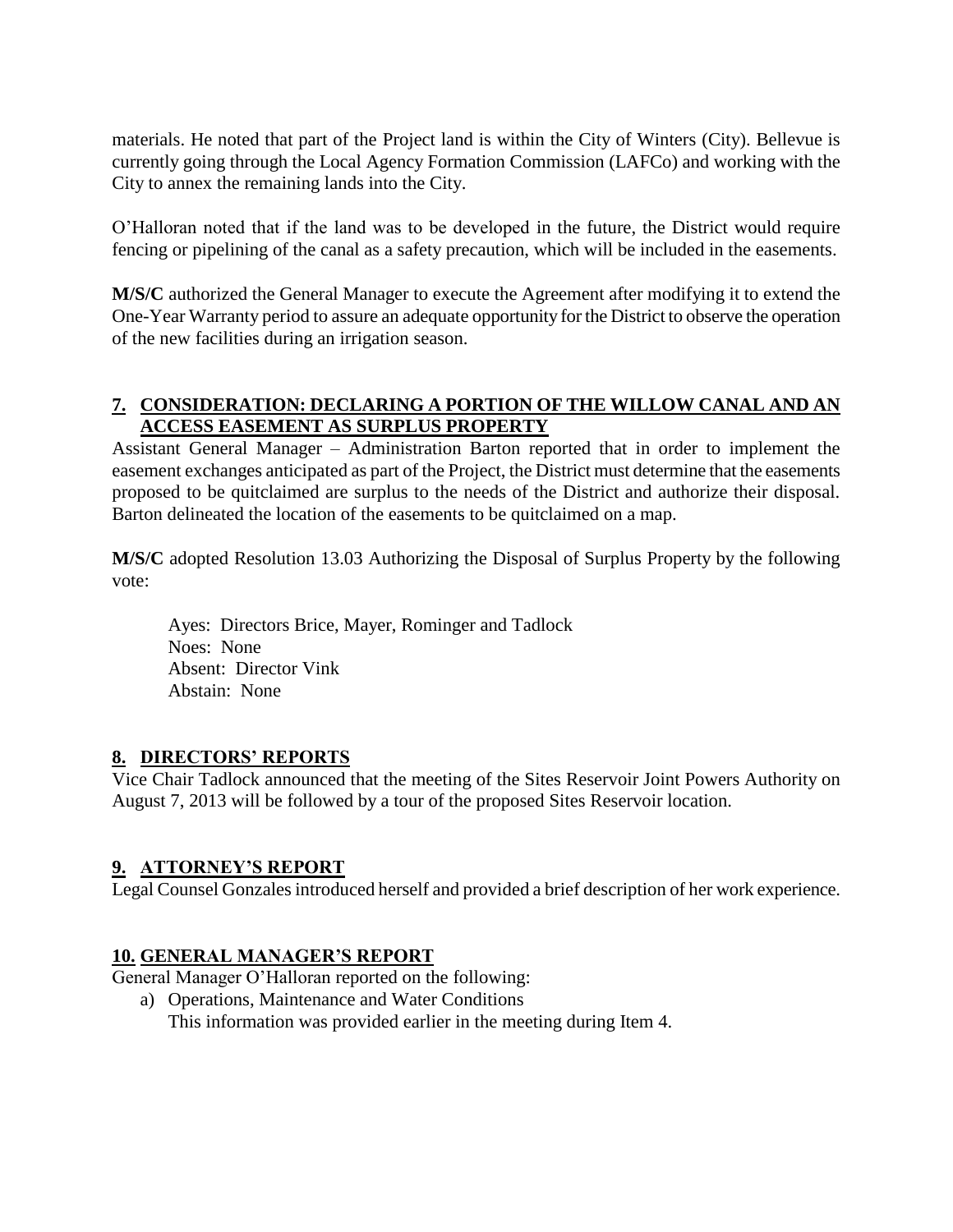materials. He noted that part of the Project land is within the City of Winters (City). Bellevue is currently going through the Local Agency Formation Commission (LAFCo) and working with the City to annex the remaining lands into the City.

O'Halloran noted that if the land was to be developed in the future, the District would require fencing or pipelining of the canal as a safety precaution, which will be included in the easements.

**M/S/C** authorized the General Manager to execute the Agreement after modifying it to extend the One-Year Warranty period to assure an adequate opportunity for the District to observe the operation of the new facilities during an irrigation season.

### **7. CONSIDERATION: DECLARING A PORTION OF THE WILLOW CANAL AND AN ACCESS EASEMENT AS SURPLUS PROPERTY**

Assistant General Manager – Administration Barton reported that in order to implement the easement exchanges anticipated as part of the Project, the District must determine that the easements proposed to be quitclaimed are surplus to the needs of the District and authorize their disposal. Barton delineated the location of the easements to be quitclaimed on a map.

**M/S/C** adopted Resolution 13.03 Authorizing the Disposal of Surplus Property by the following vote:

Ayes: Directors Brice, Mayer, Rominger and Tadlock Noes: None Absent: Director Vink Abstain: None

## **8. DIRECTORS' REPORTS**

Vice Chair Tadlock announced that the meeting of the Sites Reservoir Joint Powers Authority on August 7, 2013 will be followed by a tour of the proposed Sites Reservoir location.

#### **9. ATTORNEY'S REPORT**

Legal Counsel Gonzales introduced herself and provided a brief description of her work experience.

#### **10. GENERAL MANAGER'S REPORT**

General Manager O'Halloran reported on the following:

a) Operations, Maintenance and Water Conditions This information was provided earlier in the meeting during Item 4.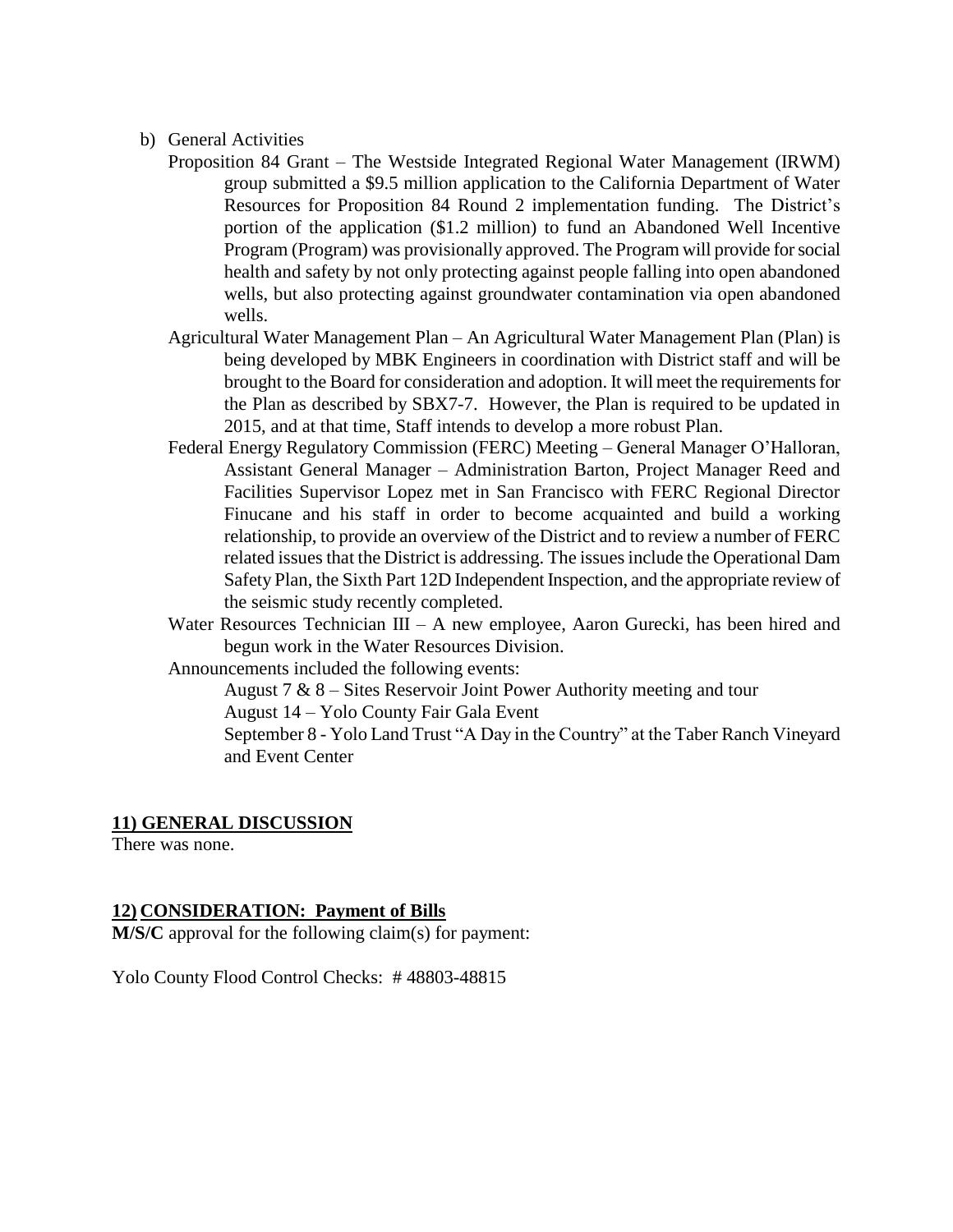- b) General Activities
	- Proposition 84 Grant The Westside Integrated Regional Water Management (IRWM) group submitted a \$9.5 million application to the California Department of Water Resources for Proposition 84 Round 2 implementation funding. The District's portion of the application (\$1.2 million) to fund an Abandoned Well Incentive Program (Program) was provisionally approved. The Program will provide for social health and safety by not only protecting against people falling into open abandoned wells, but also protecting against groundwater contamination via open abandoned wells.
	- Agricultural Water Management Plan An Agricultural Water Management Plan (Plan) is being developed by MBK Engineers in coordination with District staff and will be brought to the Board for consideration and adoption. It will meet the requirements for the Plan as described by SBX7-7. However, the Plan is required to be updated in 2015, and at that time, Staff intends to develop a more robust Plan.
	- Federal Energy Regulatory Commission (FERC) Meeting General Manager O'Halloran, Assistant General Manager – Administration Barton, Project Manager Reed and Facilities Supervisor Lopez met in San Francisco with FERC Regional Director Finucane and his staff in order to become acquainted and build a working relationship, to provide an overview of the District and to review a number of FERC related issues that the District is addressing. The issues include the Operational Dam Safety Plan, the Sixth Part 12D Independent Inspection, and the appropriate review of the seismic study recently completed.
	- Water Resources Technician III A new employee, Aaron Gurecki, has been hired and begun work in the Water Resources Division.
	- Announcements included the following events:

August  $7 & 8 - \text{Sites Reservoir Joint Power Authority meeting and tour}$ 

August 14 – Yolo County Fair Gala Event

September 8 - Yolo Land Trust "A Day in the Country" at the Taber Ranch Vineyard and Event Center

#### **11) GENERAL DISCUSSION**

There was none.

#### **12) CONSIDERATION: Payment of Bills**

**M/S/C** approval for the following claim(s) for payment:

Yolo County Flood Control Checks: # 48803-48815